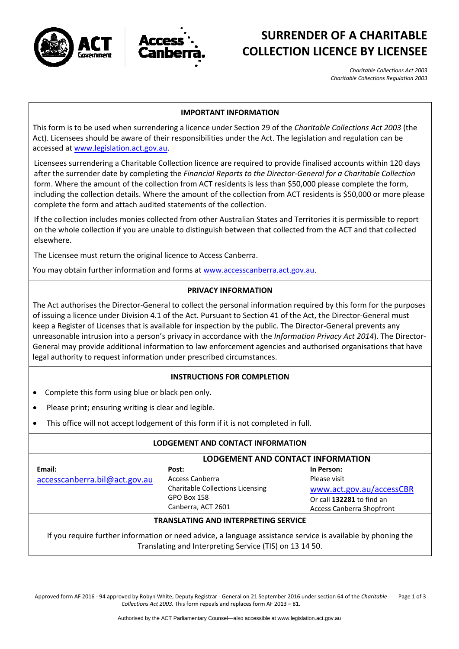



# **SURRENDER OF A CHARITABLE COLLECTION LICENCE BY LICENSEE**

*Charitable Collections Act 2003 Charitable Collections Regulation 2003*

#### **IMPORTANT INFORMATION**

This form is to be used when surrendering a licence under Section 29 of the *Charitable Collections Act 2003* (the Act). Licensees should be aware of their responsibilities under the Act. The legislation and regulation can be accessed at [www.legislation.act.gov.au](http://www.legislation.act.gov.au/).

Licensees surrendering a Charitable Collection licence are required to provide finalised accounts within 120 days after the surrender date by completing the *Financial Reports to the Director‐General for a Charitable Collection* form. Where the amount of the collection from ACT residents is less than \$50,000 please complete the form, including the collection details. Where the amount of the collection from ACT residents is \$50,000 or more please complete the form and attach audited statements of the collection.

If the collection includes monies collected from other Australian States and Territories it is permissible to report on the whole collection if you are unable to distinguish between that collected from the ACT and that collected elsewhere.

The Licensee must return the original licence to Access Canberra.

You may obtain further information and forms at [www.accesscanberra.act.gov.au](http://www.accesscanberra.act.gov.au/).

### **PRIVACY INFORMATION**

The Act authorises the Director‐General to collect the personal information required by this form for the purposes of issuing a licence under Division 4.1 of the Act. Pursuant to Section 41 of the Act, the Director‐General must keep a Register of Licenses that is available for inspection by the public. The Director‐General prevents any unreasonable intrusion into a person's privacy in accordance with the *Information Privacy Act 2014*). The Director‐ General may provide additional information to law enforcement agencies and authorised organisations that have legal authority to request information under prescribed circumstances.

### **INSTRUCTIONS FOR COMPLETION**

- Complete this form using blue or black pen only.
- Please print; ensuring writing is clear and legible.
- This office will not accept lodgement of this form if it is not completed in full.

### **LODGEMENT AND CONTACT INFORMATION**

|                               | LODGEMENT AND CONTACT INFORMATION                                                               |                                                                                                           |  |  |
|-------------------------------|-------------------------------------------------------------------------------------------------|-----------------------------------------------------------------------------------------------------------|--|--|
| Email:                        | Post:                                                                                           | In Person:                                                                                                |  |  |
| accesscanberra.bil@act.gov.au | Access Canberra<br><b>Charitable Collections Licensing</b><br>GPO Box 158<br>Canberra, ACT 2601 | Please visit<br>www.act.gov.au/accessCBR<br>Or call 132281 to find an<br><b>Access Canberra Shopfront</b> |  |  |

### **TRANSLATING AND INTERPRETING SERVICE**

If you require further information or need advice, a language assistance service is available by phoning the Translating and Interpreting Service (TIS) on 13 14 50.

Approved form AF 2016 ‐ 94 approved by Robyn White, Deputy Registrar ‐ General on 21 September 2016 under section 64 of the *Charitable Collections Act 2003.* This form repeals and replaces form AF 2013 – 81. Page 1 of 3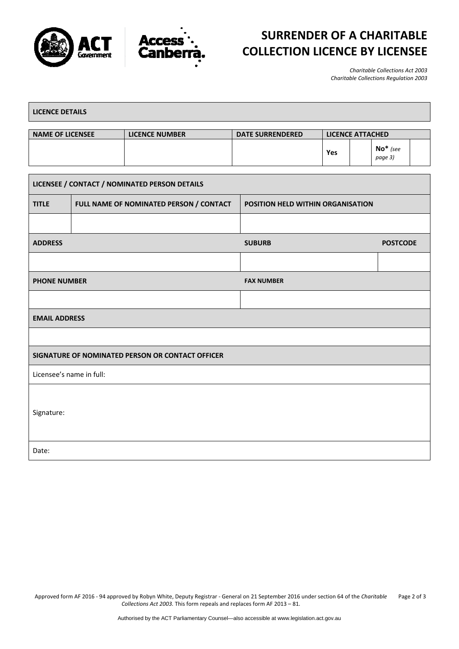



# **SURRENDER OF A CHARITABLE COLLECTION LICENCE BY LICENSEE**

*Charitable Collections Act 2003 Charitable Collections Regulation 2003*

| <b>LICENCE DETAILS</b>                           |  |                                         |                         |                                   |                       |  |  |
|--------------------------------------------------|--|-----------------------------------------|-------------------------|-----------------------------------|-----------------------|--|--|
| <b>NAME OF LICENSEE</b>                          |  | <b>LICENCE NUMBER</b>                   | <b>DATE SURRENDERED</b> | <b>LICENCE ATTACHED</b>           |                       |  |  |
|                                                  |  |                                         |                         | Yes                               | $No*$ (see<br>page 3) |  |  |
| LICENSEE / CONTACT / NOMINATED PERSON DETAILS    |  |                                         |                         |                                   |                       |  |  |
| <b>TITLE</b>                                     |  | FULL NAME OF NOMINATED PERSON / CONTACT |                         | POSITION HELD WITHIN ORGANISATION |                       |  |  |
|                                                  |  |                                         |                         |                                   |                       |  |  |
| <b>ADDRESS</b>                                   |  | <b>SUBURB</b>                           | <b>POSTCODE</b>         |                                   |                       |  |  |
|                                                  |  |                                         |                         |                                   |                       |  |  |
| <b>PHONE NUMBER</b>                              |  | <b>FAX NUMBER</b>                       |                         |                                   |                       |  |  |
|                                                  |  |                                         |                         |                                   |                       |  |  |
| <b>EMAIL ADDRESS</b>                             |  |                                         |                         |                                   |                       |  |  |
|                                                  |  |                                         |                         |                                   |                       |  |  |
| SIGNATURE OF NOMINATED PERSON OR CONTACT OFFICER |  |                                         |                         |                                   |                       |  |  |
| Licensee's name in full:                         |  |                                         |                         |                                   |                       |  |  |
| Signature:                                       |  |                                         |                         |                                   |                       |  |  |
| Date:                                            |  |                                         |                         |                                   |                       |  |  |